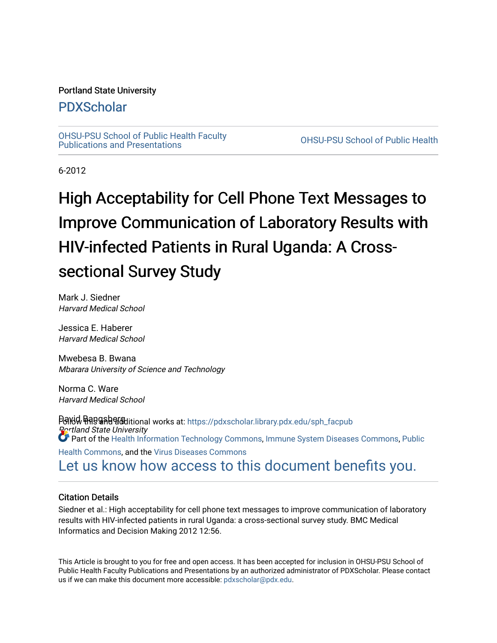## Portland State University

## [PDXScholar](https://pdxscholar.library.pdx.edu/)

[OHSU-PSU School of Public Health Faculty](https://pdxscholar.library.pdx.edu/sph_facpub) [Publications and Presentations](https://pdxscholar.library.pdx.edu/sph_facpub) [OHSU-PSU School of Public Health](https://pdxscholar.library.pdx.edu/sph) 

6-2012

# High Acceptability for Cell Phone Text Messages to Improve Communication of Laboratory Results with HIV-infected Patients in Rural Uganda: A Crosssectional Survey Study

Mark J. Siedner Harvard Medical School

Jessica E. Haberer Harvard Medical School

Mwebesa B. Bwana Mbarara University of Science and Technology

Norma C. Ware Harvard Medical School

David Bangsberg Portland State University P61I6W ቑቑቜሄኯቒቔ‱tttional works at: https://pdxscholar.library.pdx.edu/sph\_facpub Part of the [Health Information Technology Commons,](http://network.bepress.com/hgg/discipline/1239?utm_source=pdxscholar.library.pdx.edu%2Fsph_facpub%2F49&utm_medium=PDF&utm_campaign=PDFCoverPages) [Immune System Diseases Commons](http://network.bepress.com/hgg/discipline/933?utm_source=pdxscholar.library.pdx.edu%2Fsph_facpub%2F49&utm_medium=PDF&utm_campaign=PDFCoverPages), [Public](http://network.bepress.com/hgg/discipline/738?utm_source=pdxscholar.library.pdx.edu%2Fsph_facpub%2F49&utm_medium=PDF&utm_campaign=PDFCoverPages)

[Health Commons,](http://network.bepress.com/hgg/discipline/738?utm_source=pdxscholar.library.pdx.edu%2Fsph_facpub%2F49&utm_medium=PDF&utm_campaign=PDFCoverPages) and the [Virus Diseases Commons](http://network.bepress.com/hgg/discipline/998?utm_source=pdxscholar.library.pdx.edu%2Fsph_facpub%2F49&utm_medium=PDF&utm_campaign=PDFCoverPages) 

## [Let us know how access to this document benefits you.](http://library.pdx.edu/services/pdxscholar-services/pdxscholar-feedback/?ref=https://pdxscholar.library.pdx.edu/sph_facpub/49)

## Citation Details

Siedner et al.: High acceptability for cell phone text messages to improve communication of laboratory results with HIV-infected patients in rural Uganda: a cross-sectional survey study. BMC Medical Informatics and Decision Making 2012 12:56.

This Article is brought to you for free and open access. It has been accepted for inclusion in OHSU-PSU School of Public Health Faculty Publications and Presentations by an authorized administrator of PDXScholar. Please contact us if we can make this document more accessible: [pdxscholar@pdx.edu.](mailto:pdxscholar@pdx.edu)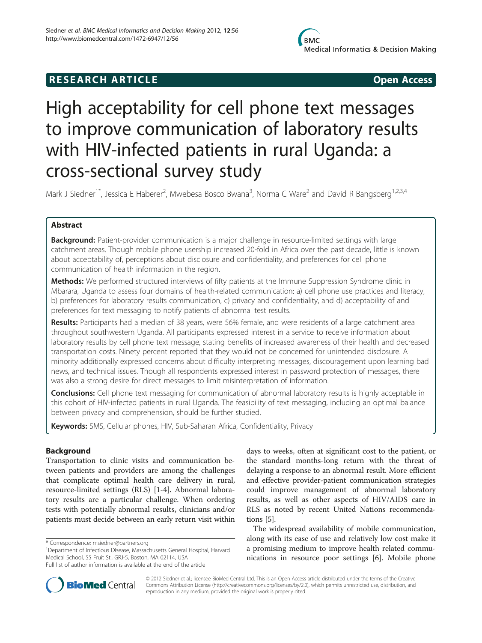## **RESEARCH ARTICLE Example 2018 12:00 Open Access**

# High acceptability for cell phone text messages to improve communication of laboratory results with HIV-infected patients in rural Uganda: a cross-sectional survey study

Mark J Siedner<sup>1\*</sup>, Jessica E Haberer<sup>2</sup>, Mwebesa Bosco Bwana<sup>3</sup>, Norma C Ware<sup>2</sup> and David R Bangsberg<sup>1,2,3,4</sup>

### Abstract

**Background:** Patient-provider communication is a major challenge in resource-limited settings with large catchment areas. Though mobile phone usership increased 20-fold in Africa over the past decade, little is known about acceptability of, perceptions about disclosure and confidentiality, and preferences for cell phone communication of health information in the region.

Methods: We performed structured interviews of fifty patients at the Immune Suppression Syndrome clinic in Mbarara, Uganda to assess four domains of health-related communication: a) cell phone use practices and literacy, b) preferences for laboratory results communication, c) privacy and confidentiality, and d) acceptability of and preferences for text messaging to notify patients of abnormal test results.

Results: Participants had a median of 38 years, were 56% female, and were residents of a large catchment area throughout southwestern Uganda. All participants expressed interest in a service to receive information about laboratory results by cell phone text message, stating benefits of increased awareness of their health and decreased transportation costs. Ninety percent reported that they would not be concerned for unintended disclosure. A minority additionally expressed concerns about difficulty interpreting messages, discouragement upon learning bad news, and technical issues. Though all respondents expressed interest in password protection of messages, there was also a strong desire for direct messages to limit misinterpretation of information.

**Conclusions:** Cell phone text messaging for communication of abnormal laboratory results is highly acceptable in this cohort of HIV-infected patients in rural Uganda. The feasibility of text messaging, including an optimal balance between privacy and comprehension, should be further studied.

Keywords: SMS, Cellular phones, HIV, Sub-Saharan Africa, Confidentiality, Privacy

### Background

Transportation to clinic visits and communication between patients and providers are among the challenges that complicate optimal health care delivery in rural, resource-limited settings (RLS) [\[1](#page-6-0)-[4\]](#page-6-0). Abnormal laboratory results are a particular challenge. When ordering tests with potentially abnormal results, clinicians and/or patients must decide between an early return visit within

<sup>1</sup>Department of Infectious Disease, Massachusetts General Hospital, Harvard Medical School, 55 Fruit St., GRJ-5, Boston, MA 02114, USA Full list of author information is available at the end of the article

days to weeks, often at significant cost to the patient, or the standard months-long return with the threat of delaying a response to an abnormal result. More efficient and effective provider-patient communication strategies could improve management of abnormal laboratory results, as well as other aspects of HIV/AIDS care in RLS as noted by recent United Nations recommendations [[5\]](#page-6-0).

The widespread availability of mobile communication, along with its ease of use and relatively low cost make it a promising medium to improve health related communications in resource poor settings [[6\]](#page-6-0). Mobile phone



© 2012 Siedner et al.; licensee BioMed Central Ltd. This is an Open Access article distributed under the terms of the Creative Commons Attribution License [\(http://creativecommons.org/licenses/by/2.0\)](http://creativecommons.org/licenses/by/2.0), which permits unrestricted use, distribution, and reproduction in any medium, provided the original work is properly cited.

<sup>\*</sup> Correspondence: [msiedner@partners.org](mailto:msiedner@partners.org) <sup>1</sup>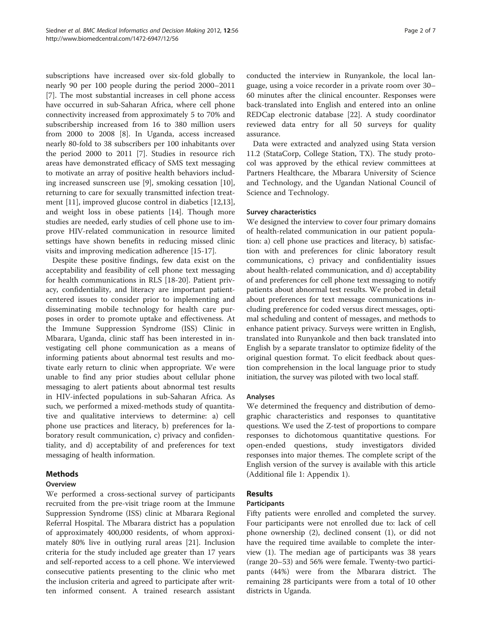subscriptions have increased over six-fold globally to nearly 90 per 100 people during the period 2000–2011 [[7\]](#page-6-0). The most substantial increases in cell phone access have occurred in sub-Saharan Africa, where cell phone connectivity increased from approximately 5 to 70% and subscribership increased from 16 to 380 million users from 2000 to 2008 [[8\]](#page-6-0). In Uganda, access increased nearly 80-fold to 38 subscribers per 100 inhabitants over the period 2000 to 2011 [[7\]](#page-6-0). Studies in resource rich areas have demonstrated efficacy of SMS text messaging to motivate an array of positive health behaviors including increased sunscreen use [\[9](#page-6-0)], smoking cessation [\[10](#page-6-0)], returning to care for sexually transmitted infection treatment [\[11\]](#page-6-0), improved glucose control in diabetics [\[12,13](#page-6-0)], and weight loss in obese patients [\[14](#page-7-0)]. Though more studies are needed, early studies of cell phone use to improve HIV-related communication in resource limited settings have shown benefits in reducing missed clinic visits and improving medication adherence [\[15-17](#page-7-0)].

Despite these positive findings, few data exist on the acceptability and feasibility of cell phone text messaging for health communications in RLS [[18-20](#page-7-0)]. Patient privacy, confidentiality, and literacy are important patientcentered issues to consider prior to implementing and disseminating mobile technology for health care purposes in order to promote uptake and effectiveness. At the Immune Suppression Syndrome (ISS) Clinic in Mbarara, Uganda, clinic staff has been interested in investigating cell phone communication as a means of informing patients about abnormal test results and motivate early return to clinic when appropriate. We were unable to find any prior studies about cellular phone messaging to alert patients about abnormal test results in HIV-infected populations in sub-Saharan Africa. As such, we performed a mixed-methods study of quantitative and qualitative interviews to determine: a) cell phone use practices and literacy, b) preferences for laboratory result communication, c) privacy and confidentiality, and d) acceptability of and preferences for text messaging of health information.

#### Methods

#### **Overview**

We performed a cross-sectional survey of participants recruited from the pre-visit triage room at the Immune Suppression Syndrome (ISS) clinic at Mbarara Regional Referral Hospital. The Mbarara district has a population of approximately 400,000 residents, of whom approximately 80% live in outlying rural areas [[21\]](#page-7-0). Inclusion criteria for the study included age greater than 17 years and self-reported access to a cell phone. We interviewed consecutive patients presenting to the clinic who met the inclusion criteria and agreed to participate after written informed consent. A trained research assistant

conducted the interview in Runyankole, the local language, using a voice recorder in a private room over 30– 60 minutes after the clinical encounter. Responses were back-translated into English and entered into an online REDCap electronic database [\[22](#page-7-0)]. A study coordinator reviewed data entry for all 50 surveys for quality assurance.

Data were extracted and analyzed using Stata version 11.2 (StataCorp, College Station, TX). The study protocol was approved by the ethical review committees at Partners Healthcare, the Mbarara University of Science and Technology, and the Ugandan National Council of Science and Technology.

#### Survey characteristics

We designed the interview to cover four primary domains of health-related communication in our patient population: a) cell phone use practices and literacy, b) satisfaction with and preferences for clinic laboratory result communications, c) privacy and confidentiality issues about health-related communication, and d) acceptability of and preferences for cell phone text messaging to notify patients about abnormal test results. We probed in detail about preferences for text message communications including preference for coded versus direct messages, optimal scheduling and content of messages, and methods to enhance patient privacy. Surveys were written in English, translated into Runyankole and then back translated into English by a separate translator to optimize fidelity of the original question format. To elicit feedback about question comprehension in the local language prior to study initiation, the survey was piloted with two local staff.

#### Analyses

We determined the frequency and distribution of demographic characteristics and responses to quantitative questions. We used the Z-test of proportions to compare responses to dichotomous quantitative questions. For open-ended questions, study investigators divided responses into major themes. The complete script of the English version of the survey is available with this article (Additional file [1](#page-6-0): Appendix 1).

#### Results

#### **Participants**

Fifty patients were enrolled and completed the survey. Four participants were not enrolled due to: lack of cell phone ownership (2), declined consent (1), or did not have the required time available to complete the interview (1). The median age of participants was 38 years (range 20–53) and 56% were female. Twenty-two participants (44%) were from the Mbarara district. The remaining 28 participants were from a total of 10 other districts in Uganda.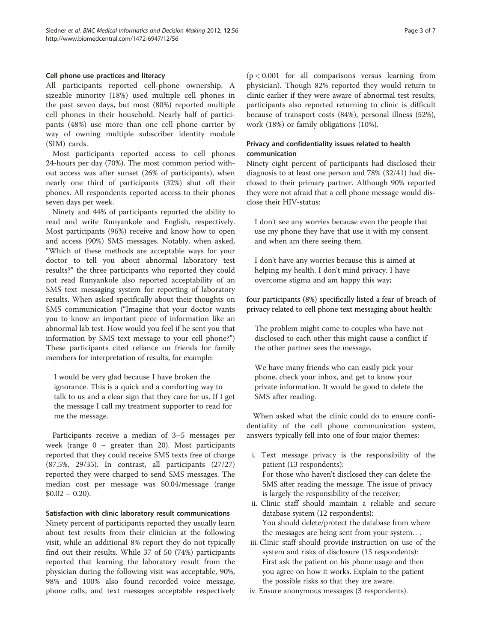#### Cell phone use practices and literacy

All participants reported cell-phone ownership. A sizeable minority (18%) used multiple cell phones in the past seven days, but most (80%) reported multiple cell phones in their household. Nearly half of participants (48%) use more than one cell phone carrier by way of owning multiple subscriber identity module (SIM) cards.

Most participants reported access to cell phones 24-hours per day (70%). The most common period without access was after sunset (26% of participants), when nearly one third of participants (32%) shut off their phones. All respondents reported access to their phones seven days per week.

Ninety and 44% of participants reported the ability to read and write Runyankole and English, respectively. Most participants (96%) receive and know how to open and access (90%) SMS messages. Notably, when asked, "Which of these methods are acceptable ways for your doctor to tell you about abnormal laboratory test results?" the three participants who reported they could not read Runyankole also reported acceptability of an SMS text messaging system for reporting of laboratory results. When asked specifically about their thoughts on SMS communication ("Imagine that your doctor wants you to know an important piece of information like an abnormal lab test. How would you feel if he sent you that information by SMS text message to your cell phone?") These participants cited reliance on friends for family members for interpretation of results, for example:

I would be very glad because I have broken the ignorance. This is a quick and a comforting way to talk to us and a clear sign that they care for us. If I get the message I call my treatment supporter to read for me the message.

Participants receive a median of 3–5 messages per week (range 0 – greater than 20). Most participants reported that they could receive SMS texts free of charge (87.5%, 29/35). In contrast, all participants (27/27) reported they were charged to send SMS messages. The median cost per message was \$0.04/message (range  $$0.02 - 0.20$ ).

#### Satisfaction with clinic laboratory result communications

Ninety percent of participants reported they usually learn about test results from their clinician at the following visit, while an additional 8% report they do not typically find out their results. While 37 of 50 (74%) participants reported that learning the laboratory result from the physician during the following visit was acceptable, 90%, 98% and 100% also found recorded voice message, phone calls, and text messages acceptable respectively  $(p < 0.001$  for all comparisons versus learning from physician). Though 82% reported they would return to clinic earlier if they were aware of abnormal test results, participants also reported returning to clinic is difficult because of transport costs (84%), personal illness (52%), work (18%) or family obligations (10%).

#### Privacy and confidentiality issues related to health communication

Ninety eight percent of participants had disclosed their diagnosis to at least one person and 78% (32/41) had disclosed to their primary partner. Although 90% reported they were not afraid that a cell phone message would disclose their HIV-status:

I don't see any worries because even the people that use my phone they have that use it with my consent and when am there seeing them.

I don't have any worries because this is aimed at helping my health. I don't mind privacy. I have overcome stigma and am happy this way;

four participants (8%) specifically listed a fear of breach of privacy related to cell phone text messaging about health:

The problem might come to couples who have not disclosed to each other this might cause a conflict if the other partner sees the message.

We have many friends who can easily pick your phone, check your inbox, and get to know your private information. It would be good to delete the SMS after reading.

When asked what the clinic could do to ensure confidentiality of the cell phone communication system, answers typically fell into one of four major themes:

- i. Text message privacy is the responsibility of the patient (13 respondents): For those who haven't disclosed they can delete the SMS after reading the message. The issue of privacy is largely the responsibility of the receiver;
- ii. Clinic staff should maintain a reliable and secure database system (12 respondents): You should delete/protect the database from where the messages are being sent from your system...
- iii. Clinic staff should provide instruction on use of the system and risks of disclosure (13 respondents): First ask the patient on his phone usage and then you agree on how it works. Explain to the patient the possible risks so that they are aware.
- iv. Ensure anonymous messages (3 respondents).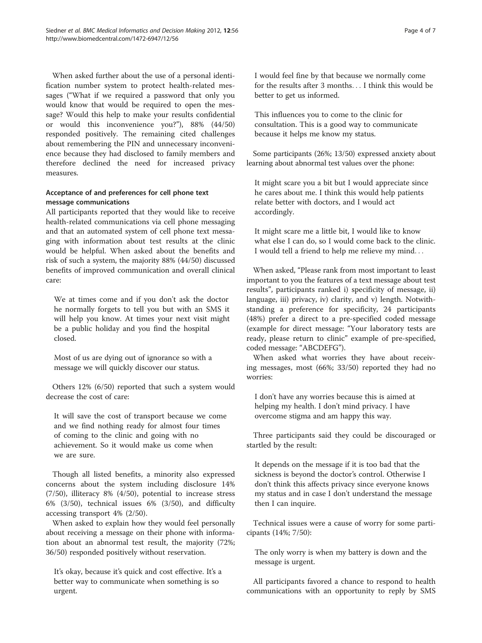When asked further about the use of a personal identification number system to protect health-related messages ("What if we required a password that only you would know that would be required to open the message? Would this help to make your results confidential or would this inconvenience you?"), 88% (44/50) responded positively. The remaining cited challenges about remembering the PIN and unnecessary inconvenience because they had disclosed to family members and therefore declined the need for increased privacy measures.

#### Acceptance of and preferences for cell phone text message communications

All participants reported that they would like to receive health-related communications via cell phone messaging and that an automated system of cell phone text messaging with information about test results at the clinic would be helpful. When asked about the benefits and risk of such a system, the majority 88% (44/50) discussed benefits of improved communication and overall clinical care:

We at times come and if you don't ask the doctor he normally forgets to tell you but with an SMS it will help you know. At times your next visit might be a public holiday and you find the hospital closed.

Most of us are dying out of ignorance so with a message we will quickly discover our status.

Others 12% (6/50) reported that such a system would decrease the cost of care:

It will save the cost of transport because we come and we find nothing ready for almost four times of coming to the clinic and going with no achievement. So it would make us come when we are sure.

Though all listed benefits, a minority also expressed concerns about the system including disclosure 14% (7/50), illiteracy 8% (4/50), potential to increase stress 6% (3/50), technical issues 6% (3/50), and difficulty accessing transport 4% (2/50).

When asked to explain how they would feel personally about receiving a message on their phone with information about an abnormal test result, the majority (72%; 36/50) responded positively without reservation.

It's okay, because it's quick and cost effective. It's a better way to communicate when something is so urgent.

This influences you to come to the clinic for consultation. This is a good way to communicate because it helps me know my status.

Some participants (26%; 13/50) expressed anxiety about learning about abnormal test values over the phone:

It might scare you a bit but I would appreciate since he cares about me. I think this would help patients relate better with doctors, and I would act accordingly.

It might scare me a little bit, I would like to know what else I can do, so I would come back to the clinic. I would tell a friend to help me relieve my mind...

When asked, "Please rank from most important to least important to you the features of a text message about test results", participants ranked i) specificity of message, ii) language, iii) privacy, iv) clarity, and v) length. Notwithstanding a preference for specificity, 24 participants (48%) prefer a direct to a pre-specified coded message (example for direct message: "Your laboratory tests are ready, please return to clinic" example of pre-specified, coded message: "ABCDEFG").

When asked what worries they have about receiving messages, most (66%; 33/50) reported they had no worries:

I don't have any worries because this is aimed at helping my health. I don't mind privacy. I have overcome stigma and am happy this way.

Three participants said they could be discouraged or startled by the result:

It depends on the message if it is too bad that the sickness is beyond the doctor's control. Otherwise I don't think this affects privacy since everyone knows my status and in case I don't understand the message then I can inquire.

Technical issues were a cause of worry for some participants (14%; 7/50):

The only worry is when my battery is down and the message is urgent.

All participants favored a chance to respond to health communications with an opportunity to reply by SMS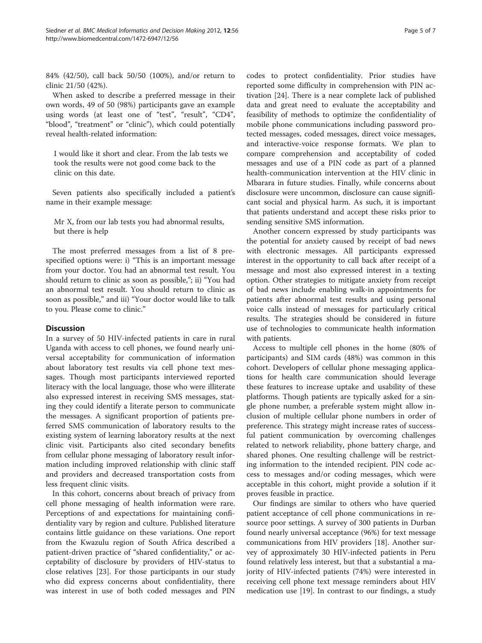84% (42/50), call back 50/50 (100%), and/or return to clinic 21/50 (42%).

When asked to describe a preferred message in their own words, 49 of 50 (98%) participants gave an example using words (at least one of "test", "result", "CD4", "blood", "treatment" or "clinic"), which could potentially reveal health-related information:

I would like it short and clear. From the lab tests we took the results were not good come back to the clinic on this date.

Seven patients also specifically included a patient's name in their example message:

Mr X, from our lab tests you had abnormal results, but there is help

The most preferred messages from a list of 8 prespecified options were: i) "This is an important message from your doctor. You had an abnormal test result. You should return to clinic as soon as possible,"; ii) "You had an abnormal test result. You should return to clinic as soon as possible," and iii) "Your doctor would like to talk to you. Please come to clinic."

#### **Discussion**

In a survey of 50 HIV-infected patients in care in rural Uganda with access to cell phones, we found nearly universal acceptability for communication of information about laboratory test results via cell phone text messages. Though most participants interviewed reported literacy with the local language, those who were illiterate also expressed interest in receiving SMS messages, stating they could identify a literate person to communicate the messages. A significant proportion of patients preferred SMS communication of laboratory results to the existing system of learning laboratory results at the next clinic visit. Participants also cited secondary benefits from cellular phone messaging of laboratory result information including improved relationship with clinic staff and providers and decreased transportation costs from less frequent clinic visits.

In this cohort, concerns about breach of privacy from cell phone messaging of health information were rare. Perceptions of and expectations for maintaining confidentiality vary by region and culture. Published literature contains little guidance on these variations. One report from the Kwazulu region of South Africa described a patient-driven practice of "shared confidentiality," or acceptability of disclosure by providers of HIV-status to close relatives [\[23\]](#page-7-0). For those participants in our study who did express concerns about confidentiality, there was interest in use of both coded messages and PIN

codes to protect confidentiality. Prior studies have reported some difficulty in comprehension with PIN activation [\[24\]](#page-7-0). There is a near complete lack of published data and great need to evaluate the acceptability and feasibility of methods to optimize the confidentiality of mobile phone communications including password protected messages, coded messages, direct voice messages, and interactive-voice response formats. We plan to compare comprehension and acceptability of coded messages and use of a PIN code as part of a planned health-communication intervention at the HIV clinic in Mbarara in future studies. Finally, while concerns about disclosure were uncommon, disclosure can cause significant social and physical harm. As such, it is important that patients understand and accept these risks prior to sending sensitive SMS information.

Another concern expressed by study participants was the potential for anxiety caused by receipt of bad news with electronic messages. All participants expressed interest in the opportunity to call back after receipt of a message and most also expressed interest in a texting option. Other strategies to mitigate anxiety from receipt of bad news include enabling walk-in appointments for patients after abnormal test results and using personal voice calls instead of messages for particularly critical results. The strategies should be considered in future use of technologies to communicate health information with patients.

Access to multiple cell phones in the home (80% of participants) and SIM cards (48%) was common in this cohort. Developers of cellular phone messaging applications for health care communication should leverage these features to increase uptake and usability of these platforms. Though patients are typically asked for a single phone number, a preferable system might allow inclusion of multiple cellular phone numbers in order of preference. This strategy might increase rates of successful patient communication by overcoming challenges related to network reliability, phone battery charge, and shared phones. One resulting challenge will be restricting information to the intended recipient. PIN code access to messages and/or coding messages, which were acceptable in this cohort, might provide a solution if it proves feasible in practice.

Our findings are similar to others who have queried patient acceptance of cell phone communications in resource poor settings. A survey of 300 patients in Durban found nearly universal acceptance (96%) for text message communications from HIV providers [[18\]](#page-7-0). Another survey of approximately 30 HIV-infected patients in Peru found relatively less interest, but that a substantial a majority of HIV-infected patients (74%) were interested in receiving cell phone text message reminders about HIV medication use [[19\]](#page-7-0). In contrast to our findings, a study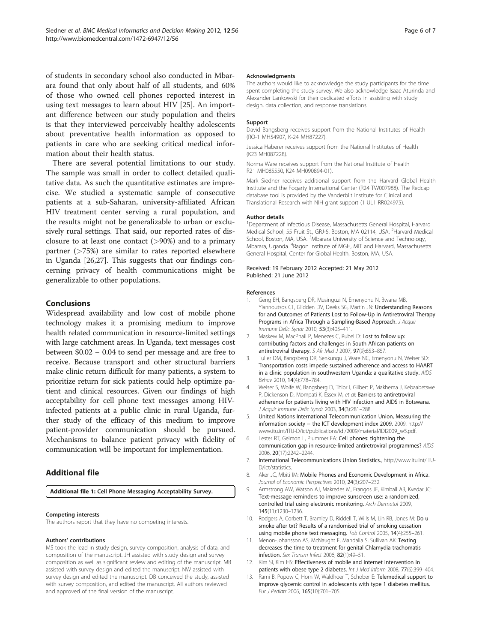<span id="page-6-0"></span>of students in secondary school also conducted in Mbarara found that only about half of all students, and 60% of those who owned cell phones reported interest in using text messages to learn about HIV [[25](#page-7-0)]. An important difference between our study population and theirs is that they interviewed perceivably healthy adolescents about preventative health information as opposed to patients in care who are seeking critical medical information about their health status.

There are several potential limitations to our study. The sample was small in order to collect detailed qualitative data. As such the quantitative estimates are imprecise. We studied a systematic sample of consecutive patients at a sub-Saharan, university-affiliated African HIV treatment center serving a rural population, and the results might not be generalizable to urban or exclusively rural settings. That said, our reported rates of disclosure to at least one contact  $(>90%)$  and to a primary partner (>75%) are similar to rates reported elsewhere in Uganda [[26,27\]](#page-7-0). This suggests that our findings concerning privacy of health communications might be generalizable to other populations.

#### Conclusions

Widespread availability and low cost of mobile phone technology makes it a promising medium to improve health related communication in resource-limited settings with large catchment areas. In Uganda, text messages cost between \$0.02 – 0.04 to send per message and are free to receive. Because transport and other structural barriers make clinic return difficult for many patients, a system to prioritize return for sick patients could help optimize patient and clinical resources. Given our findings of high acceptability for cell phone text messages among HIVinfected patients at a public clinic in rural Uganda, further study of the efficacy of this medium to improve patient-provider communication should be pursued. Mechanisms to balance patient privacy with fidelity of communication will be important for implementation.

#### Additional file

[Additional file 1:](http://www.biomedcentral.com/content/supplementary/1472-6947-12-56-S1.pdf) Cell Phone Messaging Acceptability Survey.

#### Competing interests

The authors report that they have no competing interests.

#### Authors' contributions

MS took the lead in study design, survey composition, analysis of data, and composition of the manuscript. JH assisted with study design and survey composition as well as significant review and editing of the manuscript. MB assisted with survey design and edited the manuscript. NW assisted with survey design and edited the manuscript. DB conceived the study, assisted with survey composition, and edited the manuscript. All authors reviewed and approved of the final version of the manuscript.

#### Acknowledgments

The authors would like to acknowledge the study participants for the time spent completing the study survey. We also acknowledge Isaac Aturinda and Alexander Lankowski for their dedicated efforts in assisting with study design, data collection, and response translations.

#### Support

David Bangsberg receives support from the National Institutes of Health (RO-1 MH54907, K-24 MH87227).

Jessica Haberer receives support from the National Institutes of Health (K23 MH087228).

Norma Ware receives support from the National Institute of Health R21 MH085550, K24 MH090894-01).

Mark Siedner receives additional support from the Harvard Global Health Institute and the Fogarty International Center (R24 TW007988). The Redcap database tool is provided by the Vanderbilt Institute for Clinical and Translational Research with NIH grant support (1 UL1 RR024975).

#### Author details

<sup>1</sup>Department of Infectious Disease, Massachusetts General Hospital, Harvard Medical School, 55 Fruit St., GRJ-5, Boston, MA 02114, USA. <sup>2</sup>Harvard Medical School, Boston, MA, USA. <sup>3</sup>Mbarara University of Science and Technology, Mbarara, Uganda. <sup>4</sup>Ragon Institute of MGH, MIT and Harvard, Massachusetts General Hospital, Center for Global Health, Boston, MA, USA.

#### Received: 19 February 2012 Accepted: 21 May 2012 Published: 21 June 2012

#### References

- Geng EH, Bangsberg DR, Musinguzi N, Emenyonu N, Bwana MB, Yiannoutsos CT, Glidden DV, Deeks SG, Martin JN: Understanding Reasons for and Outcomes of Patients Lost to Follow-Up in Antiretroviral Therapy Programs in Africa Through a Sampling-Based Approach. J Acquir Immune Defic Syndr 2010, 53(3):405–411.
- 2. Maskew M, MacPhail P, Menezes C, Rubel D: Lost to follow up: contributing factors and challenges in South African patients on antiretroviral therapy. S Afr Med J 2007, 97(9):853–857.
- Tuller DM, Bangsberg DR, Senkungu J, Ware NC, Emenyonu N, Weiser SD: Transportation costs impede sustained adherence and access to HAART in a clinic population in southwestern Uganda: a qualitative study. AIDS Behav 2010, 14(4):778–784.
- 4. Weiser S, Wolfe W, Bangsberg D, Thior I, Gilbert P, Makhema J, Kebaabetswe P, Dickenson D, Mompati K, Essex M, et al: Barriers to antiretroviral adherence for patients living with HIV infection and AIDS in Botswana. J Acquir Immune Defic Syndr 2003, 34(3):281–288.
- 5. United Nations International Telecommunication Union, Measuring the information society -- the ICT development index 2009. 2009, http:// www.itu.int/ITU-D/ict/publications/idi/2009/material/IDI2009\_w5.pdf.
- 6. Lester RT, Gelmon L, Plummer FA: Cell phones: tightening the communication gap in resource-limited antiretroviral programmes? AIDS 2006, 20(17):2242–2244.
- 7. International Telecommunications Union Statistics., http://www.itu.int/ITU-D/ict/statistics.
- 8. Aker JC, Mbiti IM: Mobile Phones and Economic Development in Africa. Journal of Economic Perspectives 2010, 24(3):207–232.
- 9. Armstrong AW, Watson AJ, Makredes M, Frangos JE, Kimball AB, Kvedar JC: Text-message reminders to improve sunscreen use: a randomized, controlled trial using electronic monitoring. Arch Dermatol 2009, 145(11):1230–1236.
- 10. Rodgers A, Corbett T, Bramley D, Riddell T, Wills M, Lin RB, Jones M: Do u smoke after txt? Results of a randomised trial of smoking cessation using mobile phone text messaging. Tob Control 2005, 14(4):255–261.
- 11. Menon-Johansson AS, McNaught F, Mandalia S, Sullivan AK: Texting decreases the time to treatment for genital Chlamydia trachomatis infection. Sex Transm Infect 2006, 82(1):49–51.
- 12. Kim SI, Kim HS: Effectiveness of mobile and internet intervention in patients with obese type 2 diabetes. Int J Med Inform 2008, 77(6):399-404.
- 13. Rami B, Popow C, Horn W, Waldhoer T, Schober E: Telemedical support to improve glycemic control in adolescents with type 1 diabetes mellitus. Eur J Pediatr 2006, 165(10):701–705.